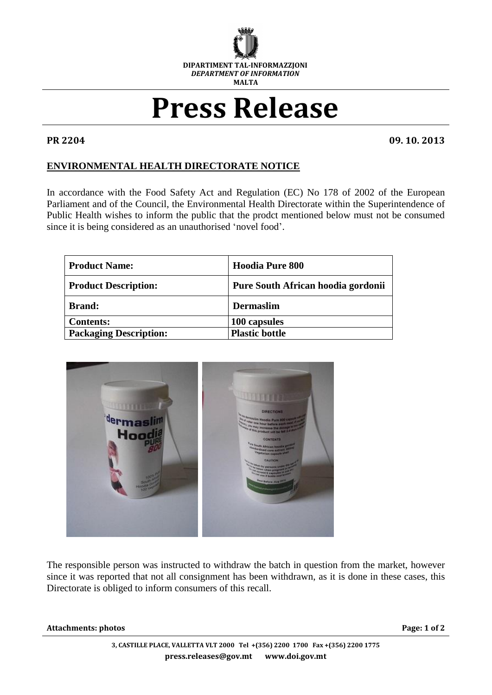

## **Press Release**

**PR 2204 09. 10. 2013**

## **ENVIRONMENTAL HEALTH DIRECTORATE NOTICE**

In accordance with the Food Safety Act and Regulation (EC) No 178 of 2002 of the European Parliament and of the Council, the Environmental Health Directorate within the Superintendence of Public Health wishes to inform the public that the prodct mentioned below must not be consumed since it is being considered as an unauthorised 'novel food'.

| <b>Product Name:</b>          | <b>Hoodia Pure 800</b>             |
|-------------------------------|------------------------------------|
| <b>Product Description:</b>   | Pure South African hoodia gordonii |
| <b>Brand:</b>                 | <b>Dermaslim</b>                   |
| <b>Contents:</b>              | 100 capsules                       |
| <b>Packaging Description:</b> | <b>Plastic bottle</b>              |



The responsible person was instructed to withdraw the batch in question from the market, however since it was reported that not all consignment has been withdrawn, as it is done in these cases, this Directorate is obliged to inform consumers of this recall.